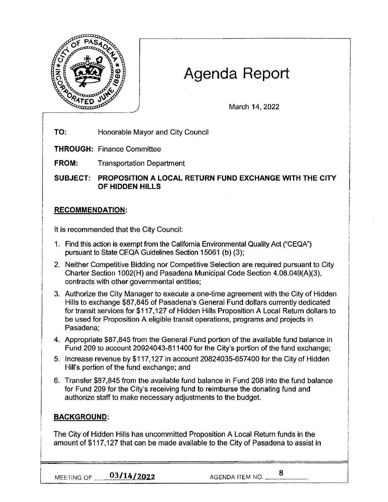

# **Agenda Report**

March 14, 2022

**TO:** Honorable Mayor and City Council

**THROUGH:** Finance Committee

**FROM:** Transportation Department

**SUBJECT: PROPOSITION A LOCAL RETURN FUND EXCHANGE WITH THE CITY OF HIDDEN HILLS** 

## **RECOMMENDATION:**

It is recommended that the City Council:

- 1. Find this action is exempt from the California Environmental Quality Act ("CEQA") pursuant to State CEQA Guidelines Section 15061 (b) (3):
- 2. Neither Competitive Bidding nor Competitive Selection are required pursuant to City Charter Section 1002(H) and Pasadena Municipal Code Section 4.08.049(A)(3), contracts with other governmental entities;
- 3. Authorize the City Manager to execute a one-time agreement with the City of Hidden Hills to exchange \$87,845 of Pasadena's General Fund dollars currently dedicated for transit services for \$117,127 of Hidden Hills Proposition A Local Return dollars to be used for Proposition A eligible transit operations, programs and projects in Pasadena;
- 4. Appropriate \$87,845 from the General Fund portion of the available fund balance in Fund 209 to account 20924043-811400 for the City's portion of the fund exchange;
- 5. Increase revenue by \$117,127 in account 20824035-657400 for the City of Hidden Hill's portion of the fund exchange; and
- 6. Transfer \$87,845 from the available fund balance in Fund 208 into the fund balance for Fund 209 for the City's receiving fund to reimburse the donating fund and authorize staff to make necessary adjustments to the budget.

# **BACKGROUND:**

The City of Hidden Hills has uncommitted Proposition A Local Return funds in the amount of \$117,127 that can be made available to the City of Pasadena to assist in

MEETING OF <u>03/14/2022</u> AGENDA ITEM NO. \_\_\_ 8

I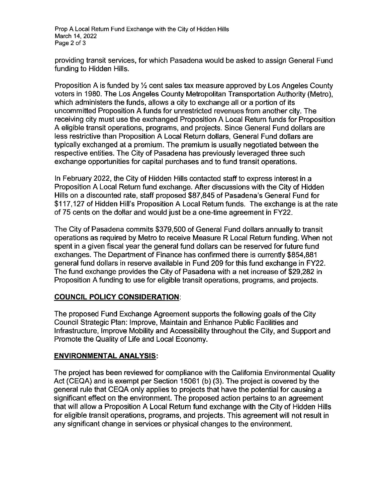Prop A Local Return Fund Exchange with the City of Hidden Hills March 14, 2022 Page 2 of 3

providing transit services, for which Pasadena would be asked to assign General Fund funding to Hidden Hills.

Proposition A is funded by  $\frac{1}{2}$  cent sales tax measure approved by Los Angeles County voters in 1980. The Los Angeles County Metropolitan Transportation Authority (Metro), which administers the funds, allows a city to exchange all or a portion of its uncommitted Proposition A funds for unrestricted revenues from another city. The receiving city must use the exchanged Proposition A Local Return funds for Proposition A eligible transit operations, programs, and projects. Since General Fund dollars are less restrictive than Proposition A Local Return dollars, General Fund dollars are typically exchanged at a premium. The premium is usually negotiated between the respective entities. The City of Pasadena has previously leveraged three such exchange opportunities for capital purchases and to fund transit operations.

In February 2022, the City of Hidden Hills contacted staff to express interest in a Proposition A Local Return fund exchange. After discussions with the City of Hidden Hills on a discounted rate, staff proposed \$87,845 of Pasadena's General Fund for \$117,127 of Hidden Hill's Proposition A Local Return funds. The exchange is at the rate of 75 cents on the dollar and would just be a one-time agreement in FY22.

The City of Pasadena commits \$379,500 of General Fund dollars annually to transit operations as required by Metro to receive Measure R Local Return funding. When not spent in a given fiscal year the general fund dollars can be reserved for future fund exchanges. The Department of Finance has confirmed there is currently \$854,881 general fund dollars in reserve available in Fund 209 for this fund exchange in FY22. The fund exchange provides the City of Pasadena with a net increase of \$29,282 in Proposition A funding to use for eligible transit operations, programs, and projects.

#### **COUNCIL POLICY CONSIDERATION:**

The proposed Fund Exchange Agreement supports the following goals of the City Council Strategic Plan: Improve, Maintain and Enhance Public Facilities and Infrastructure, Improve Mobility and Accessibility throughout the City, and Support and Promote the Quality of Life and Local Economy.

## **ENVIRONMENTAL ANALYSIS:**

The project has been reviewed for compliance with the California Environmental Quality Act (CEQA) and is exempt per Section 15061 (b) (3). The project is covered by the general rule that CEQA only applies to projects that have the potential for causing a significant effect on the environment. The proposed action pertains to an agreement that will allow a Proposition A Local Return fund exchange with the City of Hidden Hills for eligible transit operations, programs, and projects. This agreement will not result in any significant change in services or physical changes to the environment.